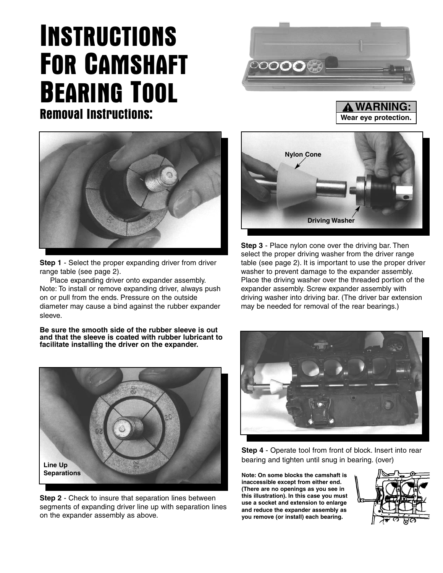## INSTRUCTIONS FOR CAMSHAFT BEARING TOOL Removal Instructions: **We are the Second Term of the Second Term of the UK and A WARDWAY**





**Step 1** - Select the proper expanding driver from driver range table (see page 2).

Place expanding driver onto expander assembly. Note: To install or remove expanding driver, always push on or pull from the ends. Pressure on the outside diameter may cause a bind against the rubber expander sleeve.

**Be sure the smooth side of the rubber sleeve is out and that the sleeve is coated with rubber lubricant to facilitate installing the driver on the expander.**



**Step 2** - Check to insure that separation lines between segments of expanding driver line up with separation lines on the expander assembly as above.



**WARNING:**

**Step 3** - Place nylon cone over the driving bar. Then select the proper driving washer from the driver range table (see page 2). It is important to use the proper driver washer to prevent damage to the expander assembly. Place the driving washer over the threaded portion of the expander assembly. Screw expander assembly with driving washer into driving bar. (The driver bar extension may be needed for removal of the rear bearings.)



**Step 4** - Operate tool from front of block. Insert into rear bearing and tighten until snug in bearing. (over)

**Note: On some blocks the camshaft is inaccessible except from either end. (There are no openings as you see in this illustration). In this case you must use a socket and extension to enlarge and reduce the expander assembly as you remove (or install) each bearing.**